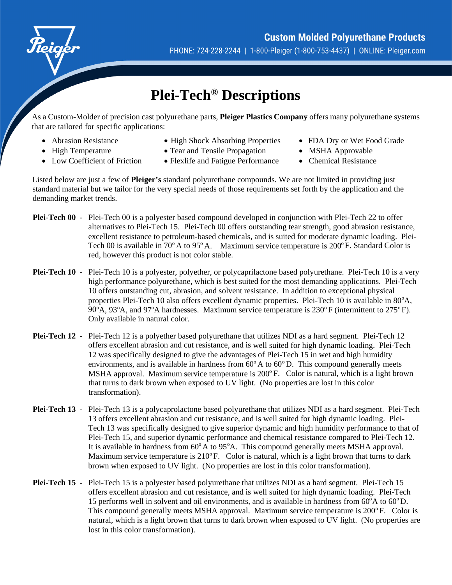

## **Plei-Tech® Descriptions**

As a Custom-Molder of precision cast polyurethane parts, **Pleiger Plastics Company** offers many polyurethane systems that are tailored for specific applications:

- Abrasion Resistance
- High Temperature
- Low Coefficient of Friction
- High Shock Absorbing Properties
- Tear and Tensile Propagation
- Flexlife and Fatigue Performance
- FDA Dry or Wet Food Grade
- MSHA Approvable
- Chemical Resistance

Listed below are just a few of **Pleiger's** standard polyurethane compounds. We are not limited in providing just standard material but we tailor for the very special needs of those requirements set forth by the application and the demanding market trends.

- **Plei-Tech 00 -** Plei-Tech 00 is a polyester based compound developed in conjunction with Plei-Tech 22 to offer alternatives to Plei-Tech 15. Plei-Tech 00 offers outstanding tear strength, good abrasion resistance, excellent resistance to petroleum-based chemicals, and is suited for moderate dynamic loading. Plei-Tech 00 is available in  $70^{\circ}$  A to  $95^{\circ}$  A. Maximum service temperature is  $200^{\circ}$  F. Standard Color is red, however this product is not color stable.
- **Plei-Tech 10** Plei-Tech 10 is a polyester, polyether, or polycaprilactone based polyurethane. Plei-Tech 10 is a very high performance polyurethane, which is best suited for the most demanding applications. Plei-Tech 10 offers outstanding cut, abrasion, and solvent resistance. In addition to exceptional physical properties Plei-Tech 10 also offers excellent dynamic properties. Plei-Tech 10 is available in 80°A, 90°A, 93°A, and 97°A hardnesses. Maximum service temperature is 230°F (intermittent to 275°F). Only available in natural color.
- **Plei-Tech 12** Plei-Tech 12 is a polyether based polyurethane that utilizes NDI as a hard segment. Plei-Tech 12 offers excellent abrasion and cut resistance, and is well suited for high dynamic loading. Plei-Tech 12 was specifically designed to give the advantages of Plei-Tech 15 in wet and high humidity environments, and is available in hardness from  $60^{\circ}$  A to  $60^{\circ}$  D. This compound generally meets MSHA approval. Maximum service temperature is  $200^{\circ}$  F. Color is natural, which is a light brown that turns to dark brown when exposed to UV light. (No properties are lost in this color transformation).
- **Plei-Tech 13** *-* Plei-Tech 13 is a polycaprolactone based polyurethane that utilizes NDI as a hard segment. Plei-Tech 13 offers excellent abrasion and cut resistance, and is well suited for high dynamic loading. Plei-Tech 13 was specifically designed to give superior dynamic and high humidity performance to that of Plei-Tech 15, and superior dynamic performance and chemical resistance compared to Plei-Tech 12. It is available in hardness from  $60^{\circ}$  A to  $95^{\circ}$ A. This compound generally meets MSHA approval. Maximum service temperature is  $210^{\circ}$  F. Color is natural, which is a light brown that turns to dark brown when exposed to UV light. (No properties are lost in this color transformation).
- **Plei-Tech 15 -** Plei-Tech 15 is a polyester based polyurethane that utilizes NDI as a hard segment. Plei-Tech 15 offers excellent abrasion and cut resistance, and is well suited for high dynamic loading. Plei-Tech 15 performs well in solvent and oil environments, and is available in hardness from  $60^{\circ}$ A to  $60^{\circ}$ D. This compound generally meets MSHA approval. Maximum service temperature is 200°F. Color is natural, which is a light brown that turns to dark brown when exposed to UV light. (No properties are lost in this color transformation).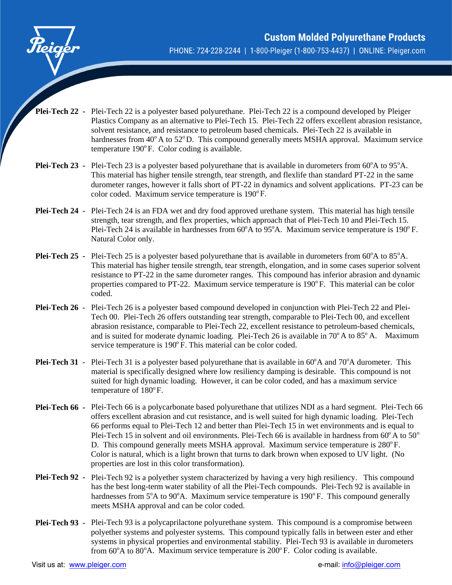

- **Plei-Tech 22 -** Plei-Tech 22 is a polyester based polyurethane. Plei-Tech 22 is a compound developed by Pleiger Plastics Company as an alternative to Plei-Tech 15. Plei-Tech 22 offers excellent abrasion resistance, solvent resistance, and resistance to petroleum based chemicals. Plei-Tech 22 is available in hardnesses from  $40^{\circ}$  A to  $52^{\circ}$  D. This compound generally meets MSHA approval. Maximum service temperature  $190^{\circ}$  F. Color coding is available.
- Plei-Tech 23 Plei-Tech 23 is a polyester based polyurethane that is available in durometers from 60<sup>o</sup>A to 95<sup>o</sup>A. This material has higher tensile strength, tear strength, and flexlife than standard PT-22 in the same durometer ranges, however it falls short of PT-22 in dynamics and solvent applications. PT-23 can be color coded. Maximum service temperature is  $190^{\circ}$  F.
- **Plei-Tech 24 -** Plei-Tech 24 is an FDA wet and dry food approved urethane system. This material has high tensile strength, tear strength, and flex properties, which approach that of Plei-Tech 10 and Plei-Tech 15. Plei-Tech 24 is available in hardnesses from  $60^{\circ}$ A to  $95^{\circ}$ A. Maximum service temperature is 190 $^{\circ}$ F. Natural Color only.
- Plei-Tech 25 Plei-Tech 25 is a polyester based polyurethane that is available in durometers from 60°A to 85°A. This material has higher tensile strength, tear strength, elongation, and in some cases superior solvent resistance to PT-22 in the same durometer ranges. This compound has inferior abrasion and dynamic properties compared to PT-22. Maximum service temperature is  $190^{\circ}$  F. This material can be color coded.
- **Plei-Tech 26**Plei-Tech 26 is a polyester based compound developed in conjunction with Plei-Tech 22 and Plei-Tech 00. Plei-Tech 26 offers outstanding tear strength, comparable to Plei-Tech 00, and excellent abrasion resistance, comparable to Plei-Tech 22, excellent resistance to petroleum-based chemicals, and is suited for moderate dynamic loading. Plei-Tech 26 is available in  $70^{\circ}$  A to  $85^{\circ}$  A. Maximum service temperature is 190°F. This material can be color coded.
- Plei-Tech 31 Plei-Tech 31 is a polyester based polyurethane that is available in 60°A and 70°A durometer. This material is specifically designed where low resiliency damping is desirable. This compound is not suited for high dynamic loading. However, it can be color coded, and has a maximum service temperature of  $180^{\circ}$  F.
- **Plei-Tech 66 -** Plei-Tech 66 is a polycarbonate based polyurethane that utilizes NDI as a hard segment. Plei-Tech 66 offers excellent abrasion and cut resistance, and is well suited for high dynamic loading. Plei-Tech 66 performs equal to Plei-Tech 12 and better than Plei-Tech 15 in wet environments and is equal to Plei-Tech 15 in solvent and oil environments. Plei-Tech 66 is available in hardness from  $60^{\circ}$  A to  $50^{\circ}$ D. This compound generally meets MSHA approval. Maximum service temperature is  $280^{\circ}$  F. Color is natural, which is a light brown that turns to dark brown when exposed to UV light. (No properties are lost in this color transformation).
- **Plei-Tech 92** Plei-Tech 92 is a polyether system characterized by having a very high resiliency. This compound has the best long-term water stability of all the Plei-Tech compounds. Plei-Tech 92 is available in hardnesses from  $5^{\circ}$ A to  $90^{\circ}$ A. Maximum service temperature is  $190^{\circ}$  F. This compound generally meets MSHA approval and can be color coded.
- **Plei-Tech 93** Plei-Tech 93 is a polycaprilactone polyurethane system. This compound is a compromise between polyether systems and polyester systems. This compound typically falls in between ester and ether systems in physical properties and environmental stability. Plei-Tech 93 is available in durometers from 60°A to 80°A. Maximum service temperature is 200°F. Color coding is available.